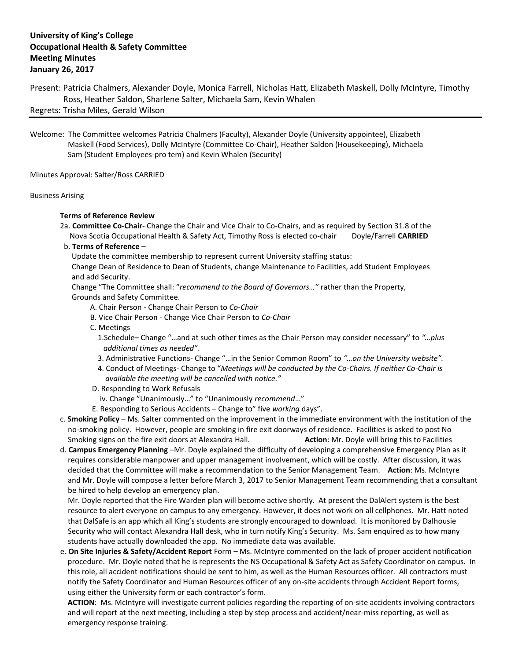## **University of King's College Occupational Health & Safety Committee Meeting Minutes January 26, 2017**

Present: Patricia Chalmers, Alexander Doyle, Monica Farrell, Nicholas Hatt, Elizabeth Maskell, Dolly McIntyre, Timothy Ross, Heather Saldon, Sharlene Salter, Michaela Sam, Kevin Whalen Regrets: Trisha Miles, Gerald Wilson

Welcome: The Committee welcomes Patricia Chalmers (Faculty), Alexander Doyle (University appointee), Elizabeth Maskell (Food Services), Dolly McIntyre (Committee Co-Chair), Heather Saldon (Housekeeping), Michaela Sam (Student Employees-pro tem) and Kevin Whalen (Security)

Minutes Approval: Salter/Ross CARRIED

## Business Arising

## **Terms of Reference Review**

- 2a. **Committee Co-Chair** Change the Chair and Vice Chair to Co-Chairs, and as required by Section 31.8 of the Nova Scotia Occupational Health & Safety Act, Timothy Ross is elected co-chair Doyle/Farrell **CARRIED**
- b. **Terms of Reference** –

Update the committee membership to represent current University staffing status:

 Change Dean of Residence to Dean of Students, change Maintenance to Facilities, add Student Employees and add Security.

 Change "The Committee shall: "*recommend to the Board of Governors…"* rather than the Property, Grounds and Safety Committee.

- A. Chair Person Change Chair Person to *Co-Chair*
- B. Vice Chair Person Change Vice Chair Person to *Co-Chair*
- C. Meetings

 1.Schedule– Change "…and at such other times as the Chair Person may consider necessary" to *"…plus additional times as needed".*

- 3. Administrative Functions- Change "…in the Senior Common Room" to *"…on the University website".*
- 4. Conduct of Meetings- Change to "*Meetings will be conducted by the Co-Chairs. If neither Co-Chair is available the meeting will be cancelled with notice."*
- D. Responding to Work Refusals
- iv. Change "Unanimously…" to "Unanimously *recommend*…"
- E. Responding to Serious Accidents Change to" five *working* days".
- c. **Smoking Policy** Ms. Salter commented on the improvement in the immediate environment with the institution of the no-smoking policy. However, people are smoking in fire exit doorways of residence. Facilities is asked to post No Smoking signs on the fire exit doors at Alexandra Hall. **Action**: Mr. Doyle will bring this to Facilities
- d. **Campus Emergency Planning** –Mr. Doyle explained the difficulty of developing a comprehensive Emergency Plan as it requires considerable manpower and upper management involvement, which will be costly. After discussion, it was decided that the Committee will make a recommendation to the Senior Management Team. **Action**: Ms. McIntyre and Mr. Doyle will compose a letter before March 3, 2017 to Senior Management Team recommending that a consultant be hired to help develop an emergency plan.

 Mr. Doyle reported that the Fire Warden plan will become active shortly. At present the DalAlert system is the best resource to alert everyone on campus to any emergency. However, it does not work on all cellphones. Mr. Hatt noted that DalSafe is an app which all King's students are strongly encouraged to download. It is monitored by Dalhousie Security who will contact Alexandra Hall desk, who in turn notify King's Security. Ms. Sam enquired as to how many students have actually downloaded the app. No immediate data was available.

 e. **On Site Injuries & Safety/Accident Report** Form – Ms. McIntyre commented on the lack of proper accident notification procedure. Mr. Doyle noted that he is represents the NS Occupational & Safety Act as Safety Coordinator on campus. In this role, all accident notifications should be sent to him, as well as the Human Resources officer. All contractors must notify the Safety Coordinator and Human Resources officer of any on-site accidents through Accident Report forms, using either the University form or each contractor's form.

 **ACTION**: Ms. McIntyre will investigate current policies regarding the reporting of on-site accidents involving contractors and will report at the next meeting, including a step by step process and accident/near-miss reporting, as well as emergency response training.